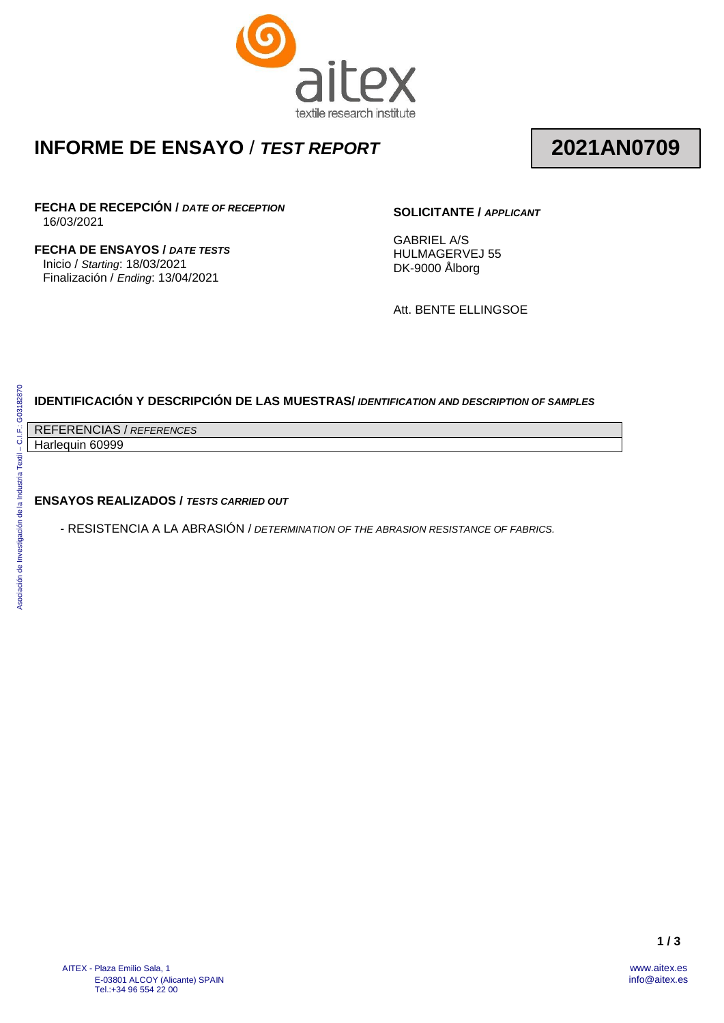

## **INFORME DE ENSAYO** / *TEST REPORT*

# **2021AN0709**

**FECHA DE RECEPCIÓN /** *DATE OF RECEPTION* 16/03/2021

**FECHA DE ENSAYOS /** *DATE TESTS* Inicio / *Starting*: 18/03/2021 Finalización / *Ending*: 13/04/2021

### **SOLICITANTE /** *APPLICANT*

GABRIEL A/S HULMAGERVEJ 55 DK-9000 Ålborg

Att. BENTE ELLINGSOE

### **IDENTIFICACIÓN Y DESCRIPCIÓN DE LAS MUESTRAS/** *IDENTIFICATION AND DESCRIPTION OF SAMPLES*

REFERENCIAS / *REFERENCES*

Harlequin 60999

#### **ENSAYOS REALIZADOS /** *TESTS CARRIED OUT*

- RESISTENCIA A LA ABRASIÓN / *DETERMINATION OF THE ABRASION RESISTANCE OF FABRICS.*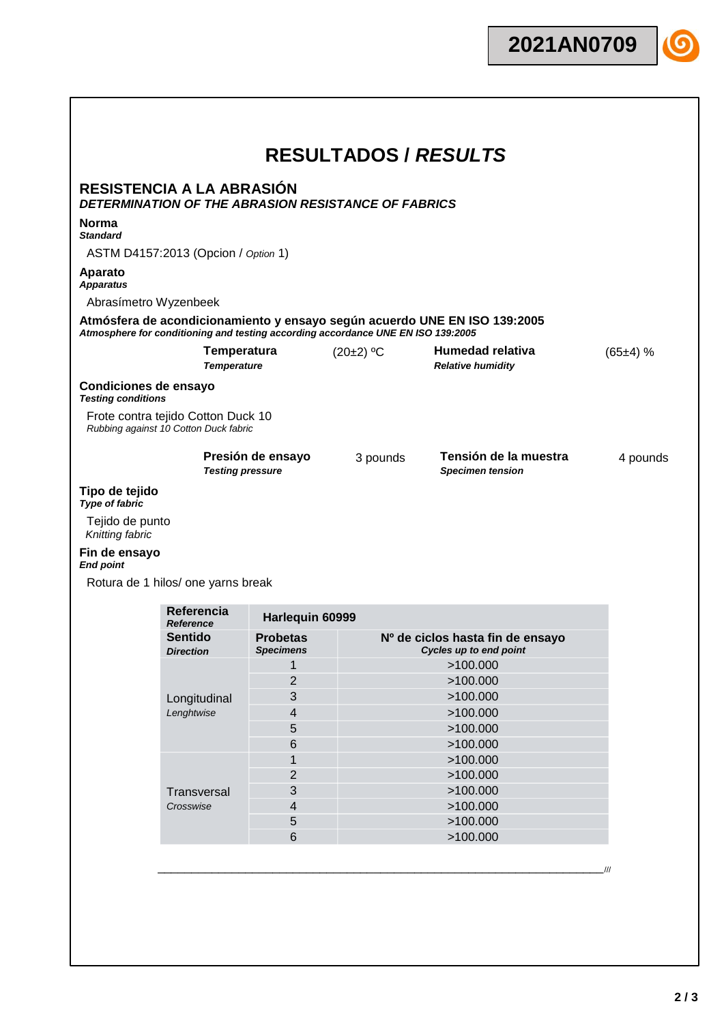

|                                    | <b>RESISTENCIA A LA ABRASIÓN</b>                                            |                                              | <b>DETERMINATION OF THE ABRASION RESISTANCE OF FABRICS</b>                       |                                                                           |            |
|------------------------------------|-----------------------------------------------------------------------------|----------------------------------------------|----------------------------------------------------------------------------------|---------------------------------------------------------------------------|------------|
| Norma<br><b>Standard</b>           |                                                                             |                                              |                                                                                  |                                                                           |            |
|                                    | ASTM D4157:2013 (Opcion / Option 1)                                         |                                              |                                                                                  |                                                                           |            |
| <b>Aparato</b><br><b>Apparatus</b> |                                                                             |                                              |                                                                                  |                                                                           |            |
|                                    | Abrasímetro Wyzenbeek                                                       |                                              |                                                                                  |                                                                           |            |
|                                    |                                                                             |                                              | Atmosphere for conditioning and testing according accordance UNE EN ISO 139:2005 | Atmósfera de acondicionamiento y ensayo según acuerdo UNE EN ISO 139:2005 |            |
|                                    | <b>Temperatura</b><br><b>Temperature</b>                                    |                                              | (20±2) °C                                                                        | <b>Humedad relativa</b><br><b>Relative humidity</b>                       | $(65±4)$ % |
| <b>Testing conditions</b>          | Condiciones de ensayo                                                       |                                              |                                                                                  |                                                                           |            |
|                                    | Frote contra tejido Cotton Duck 10<br>Rubbing against 10 Cotton Duck fabric |                                              |                                                                                  |                                                                           |            |
|                                    |                                                                             |                                              |                                                                                  | Tensión de la muestra                                                     | 4 pounds   |
|                                    |                                                                             | Presión de ensayo<br><b>Testing pressure</b> | 3 pounds                                                                         | <b>Specimen tension</b>                                                   |            |
| Tipo de tejido                     |                                                                             |                                              |                                                                                  |                                                                           |            |
| Type of fabric<br>Tejido de punto  |                                                                             |                                              |                                                                                  |                                                                           |            |
| Knitting fabric<br>Fin de ensayo   |                                                                             |                                              |                                                                                  |                                                                           |            |
| <b>End point</b>                   |                                                                             |                                              |                                                                                  |                                                                           |            |
|                                    | Rotura de 1 hilos/ one yarns break<br>Referencia                            |                                              |                                                                                  |                                                                           |            |
|                                    | <b>Reference</b>                                                            | Harlequin 60999                              |                                                                                  |                                                                           |            |
|                                    | <b>Sentido</b><br><b>Direction</b>                                          | <b>Probetas</b><br><b>Specimens</b>          |                                                                                  | Nº de ciclos hasta fin de ensayo<br>Cycles up to end point                |            |
|                                    |                                                                             | 1                                            |                                                                                  | >100.000                                                                  |            |
|                                    |                                                                             | $\overline{2}$                               |                                                                                  | >100.000                                                                  |            |
|                                    | Longitudinal                                                                | 3                                            |                                                                                  | >100.000                                                                  |            |
|                                    | Lenghtwise                                                                  | $\overline{4}$                               |                                                                                  | >100.000                                                                  |            |
|                                    |                                                                             | 5                                            |                                                                                  | >100.000                                                                  |            |
|                                    |                                                                             | $6\phantom{1}6$                              |                                                                                  | >100.000                                                                  |            |
|                                    |                                                                             | 1                                            |                                                                                  | >100.000                                                                  |            |
|                                    |                                                                             | $\overline{c}$                               |                                                                                  | >100.000                                                                  |            |
|                                    | Transversal                                                                 | 3                                            |                                                                                  | >100.000                                                                  |            |
|                                    | Crosswise                                                                   | $\overline{\mathbf{4}}$                      |                                                                                  | >100.000                                                                  |            |
|                                    |                                                                             | 5                                            |                                                                                  | >100.000                                                                  |            |
|                                    |                                                                             | $6\phantom{1}$                               |                                                                                  | >100.000                                                                  |            |

 $\lceil$